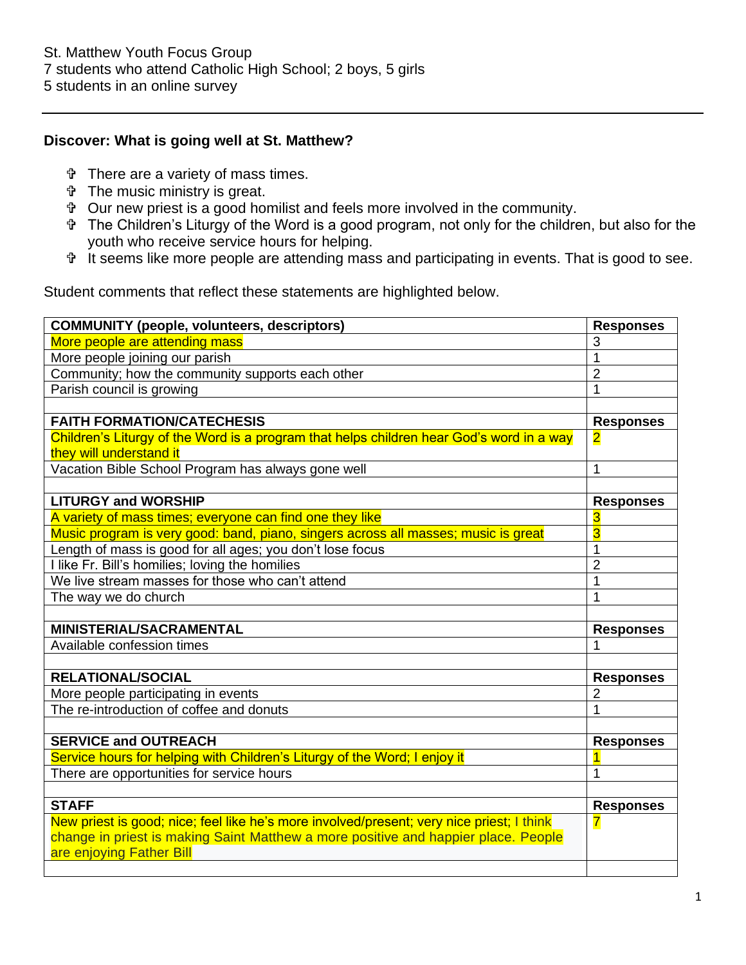## **Discover: What is going well at St. Matthew?**

- There are a variety of mass times.
- The music ministry is great.
- Our new priest is a good homilist and feels more involved in the community.
- The Children's Liturgy of the Word is a good program, not only for the children, but also for the youth who receive service hours for helping.
- It seems like more people are attending mass and participating in events. That is good to see.

Student comments that reflect these statements are highlighted below.

| <b>COMMUNITY (people, volunteers, descriptors)</b>                                        | <b>Responses</b>        |
|-------------------------------------------------------------------------------------------|-------------------------|
| More people are attending mass                                                            | 3                       |
| More people joining our parish                                                            | 1                       |
| Community; how the community supports each other                                          | $\overline{2}$          |
| Parish council is growing                                                                 | 1                       |
|                                                                                           |                         |
| <b>FAITH FORMATION/CATECHESIS</b>                                                         | <b>Responses</b>        |
| Children's Liturgy of the Word is a program that helps children hear God's word in a way  | $\overline{\mathbf{2}}$ |
| they will understand it                                                                   |                         |
| Vacation Bible School Program has always gone well                                        | 1                       |
|                                                                                           |                         |
| <b>LITURGY and WORSHIP</b>                                                                | <b>Responses</b>        |
| A variety of mass times; everyone can find one they like                                  | 3                       |
| Music program is very good: band, piano, singers across all masses; music is great        | $\overline{3}$          |
| Length of mass is good for all ages; you don't lose focus                                 | 1                       |
| I like Fr. Bill's homilies; loving the homilies                                           | $\overline{2}$          |
| We live stream masses for those who can't attend                                          | 1                       |
| The way we do church                                                                      |                         |
|                                                                                           |                         |
| <b>MINISTERIAL/SACRAMENTAL</b>                                                            | <b>Responses</b>        |
| Available confession times                                                                | 1                       |
|                                                                                           |                         |
| <b>RELATIONAL/SOCIAL</b>                                                                  | <b>Responses</b>        |
| More people participating in events                                                       | $\overline{2}$          |
| The re-introduction of coffee and donuts                                                  | 1                       |
|                                                                                           |                         |
| <b>SERVICE and OUTREACH</b>                                                               | <b>Responses</b>        |
| Service hours for helping with Children's Liturgy of the Word; I enjoy it                 |                         |
| There are opportunities for service hours                                                 | 1                       |
|                                                                                           |                         |
| <b>STAFF</b>                                                                              | <b>Responses</b>        |
| New priest is good; nice; feel like he's more involved/present; very nice priest; I think | 7                       |
| change in priest is making Saint Matthew a more positive and happier place. People        |                         |
| are enjoying Father Bill                                                                  |                         |
|                                                                                           |                         |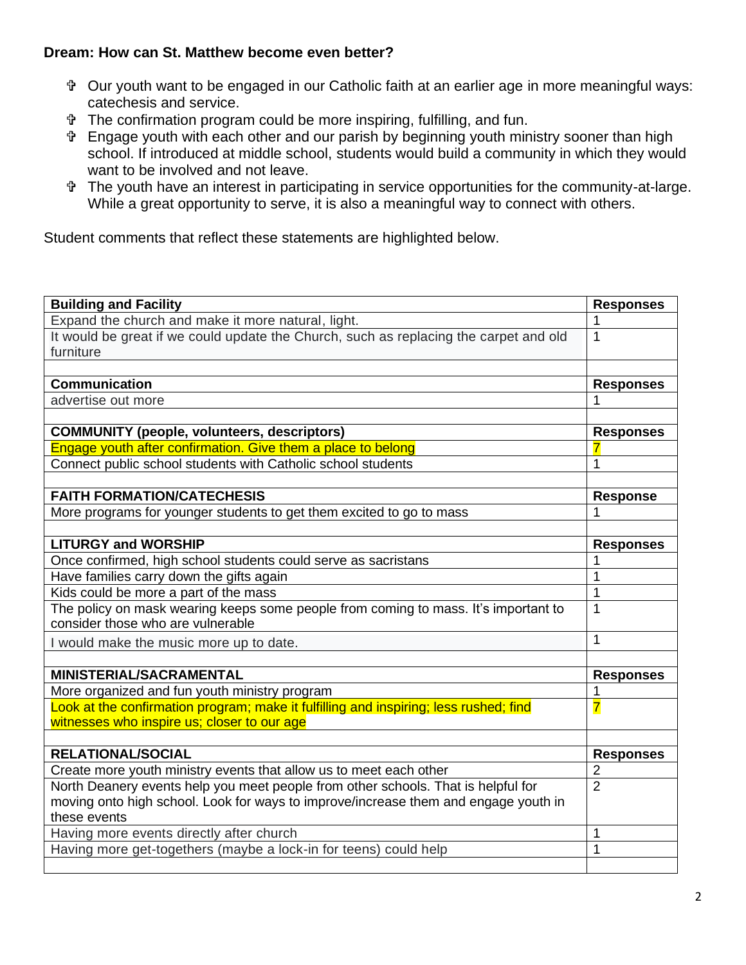# **Dream: How can St. Matthew become even better?**

- Our youth want to be engaged in our Catholic faith at an earlier age in more meaningful ways: catechesis and service.
- The confirmation program could be more inspiring, fulfilling, and fun.
- Engage youth with each other and our parish by beginning youth ministry sooner than high school. If introduced at middle school, students would build a community in which they would want to be involved and not leave.
- The youth have an interest in participating in service opportunities for the community-at-large. While a great opportunity to serve, it is also a meaningful way to connect with others.

Student comments that reflect these statements are highlighted below.

| <b>Building and Facility</b>                                                          | <b>Responses</b> |
|---------------------------------------------------------------------------------------|------------------|
| Expand the church and make it more natural, light.                                    | 1                |
| It would be great if we could update the Church, such as replacing the carpet and old | $\mathbf{1}$     |
| furniture                                                                             |                  |
|                                                                                       |                  |
| <b>Communication</b>                                                                  | <b>Responses</b> |
| advertise out more                                                                    | 1                |
|                                                                                       |                  |
| <b>COMMUNITY (people, volunteers, descriptors)</b>                                    | <b>Responses</b> |
| Engage youth after confirmation. Give them a place to belong                          | 7                |
| Connect public school students with Catholic school students                          | 1                |
|                                                                                       |                  |
| <b>FAITH FORMATION/CATECHESIS</b>                                                     | <b>Response</b>  |
| More programs for younger students to get them excited to go to mass                  | 1                |
|                                                                                       |                  |
| <b>LITURGY and WORSHIP</b>                                                            | <b>Responses</b> |
| Once confirmed, high school students could serve as sacristans                        |                  |
| Have families carry down the gifts again                                              | 1                |
| Kids could be more a part of the mass                                                 | $\mathbf{1}$     |
| The policy on mask wearing keeps some people from coming to mass. It's important to   | 1                |
| consider those who are vulnerable                                                     |                  |
| I would make the music more up to date.                                               | 1                |
|                                                                                       |                  |
| <b>MINISTERIAL/SACRAMENTAL</b>                                                        | <b>Responses</b> |
| More organized and fun youth ministry program                                         | 1                |
| Look at the confirmation program; make it fulfilling and inspiring; less rushed; find | 7                |
| witnesses who inspire us; closer to our age                                           |                  |
|                                                                                       |                  |
| <b>RELATIONAL/SOCIAL</b>                                                              | <b>Responses</b> |
| Create more youth ministry events that allow us to meet each other                    | $\overline{2}$   |
| North Deanery events help you meet people from other schools. That is helpful for     | $\overline{2}$   |
| moving onto high school. Look for ways to improve/increase them and engage youth in   |                  |
| these events                                                                          |                  |
| Having more events directly after church                                              | 1                |
| Having more get-togethers (maybe a lock-in for teens) could help                      | 1                |